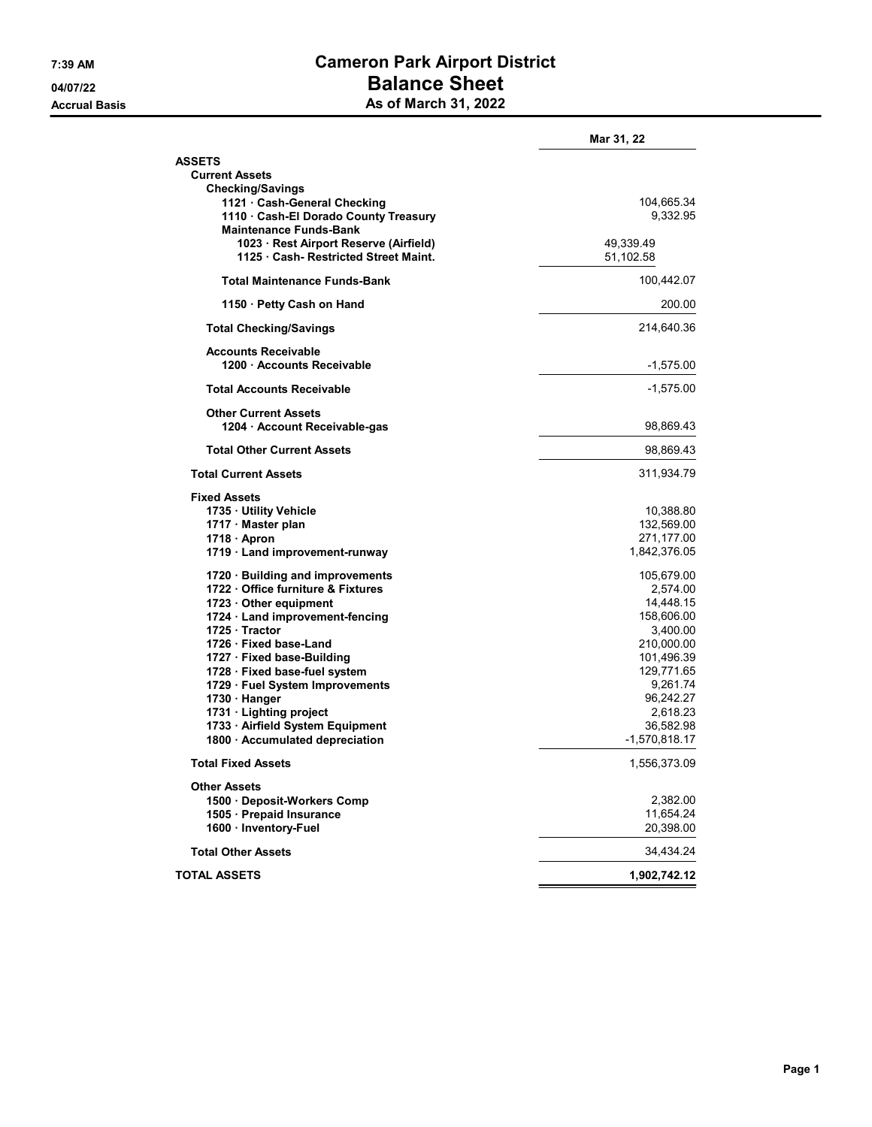## 7:39 AM Cameron Park Airport District 04/07/22 Dalance Sheet Accrual Basis **As of March 31, 2022**

|                                        | Mar 31, 22      |
|----------------------------------------|-----------------|
| <b>ASSETS</b>                          |                 |
| <b>Current Assets</b>                  |                 |
| <b>Checking/Savings</b>                |                 |
| 1121 Cash-General Checking             | 104,665.34      |
| 1110 · Cash-El Dorado County Treasury  | 9,332.95        |
| <b>Maintenance Funds-Bank</b>          |                 |
| 1023 · Rest Airport Reserve (Airfield) | 49,339.49       |
| 1125 Cash- Restricted Street Maint.    | 51,102.58       |
| <b>Total Maintenance Funds-Bank</b>    | 100,442.07      |
| 1150 · Petty Cash on Hand              | 200.00          |
| <b>Total Checking/Savings</b>          | 214,640.36      |
| <b>Accounts Receivable</b>             |                 |
| 1200 Accounts Receivable               | $-1,575.00$     |
| <b>Total Accounts Receivable</b>       | $-1,575.00$     |
| <b>Other Current Assets</b>            |                 |
| 1204 · Account Receivable-gas          | 98,869.43       |
| <b>Total Other Current Assets</b>      | 98,869.43       |
| <b>Total Current Assets</b>            | 311,934.79      |
| <b>Fixed Assets</b>                    |                 |
| 1735 · Utility Vehicle                 | 10,388.80       |
| 1717 · Master plan                     | 132,569.00      |
| $1718 \cdot$ Apron                     | 271,177.00      |
| 1719 · Land improvement-runway         | 1,842,376.05    |
| 1720 · Building and improvements       | 105,679.00      |
| 1722 Office furniture & Fixtures       | 2,574.00        |
| 1723 · Other equipment                 | 14,448.15       |
| 1724 · Land improvement-fencing        | 158,606.00      |
| 1725 · Tractor                         | 3,400.00        |
| 1726 Fixed base-Land                   | 210,000.00      |
| 1727 · Fixed base-Building             | 101,496.39      |
| 1728 · Fixed base-fuel system          | 129,771.65      |
| 1729 · Fuel System Improvements        | 9,261.74        |
| 1730 · Hanger                          | 96,242.27       |
| 1731 Lighting project                  | 2,618.23        |
| 1733 · Airfield System Equipment       | 36,582.98       |
| 1800 · Accumulated depreciation        | $-1,570,818.17$ |
| <b>Total Fixed Assets</b>              | 1,556,373.09    |
| <b>Other Assets</b>                    |                 |
| 1500 · Deposit-Workers Comp            | 2,382.00        |
| 1505 · Prepaid Insurance               | 11,654.24       |
| 1600 · Inventory-Fuel                  | 20,398.00       |
| <b>Total Other Assets</b>              | 34,434.24       |
| <b>TOTAL ASSETS</b>                    | 1,902,742.12    |
|                                        |                 |